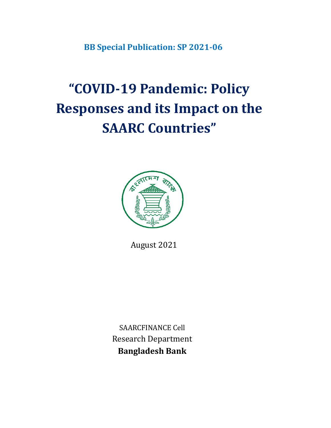**BB Special Publication: SP 2021-06**

# **"COVID-19 Pandemic: Policy Responses and its Impact on the SAARC Countries"**



August 2021

SAARCFINANCE Cell Research Department **Bangladesh Bank**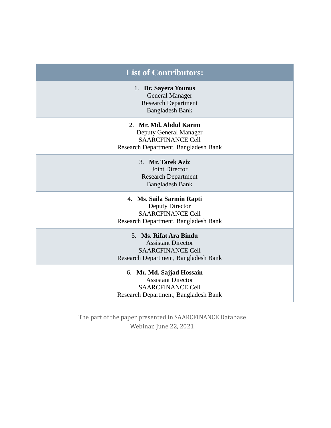| <b>List of Contributors:</b>                                                                                               |
|----------------------------------------------------------------------------------------------------------------------------|
| 1. Dr. Sayera Younus<br><b>General Manager</b><br><b>Research Department</b><br><b>Bangladesh Bank</b>                     |
| 2. Mr. Md. Abdul Karim<br>Deputy General Manager<br><b>SAARCFINANCE Cell</b><br>Research Department, Bangladesh Bank       |
| 3. Mr. Tarek Aziz<br><b>Joint Director</b><br><b>Research Department</b><br><b>Bangladesh Bank</b>                         |
| 4. Ms. Saila Sarmin Rapti<br>Deputy Director<br><b>SAARCFINANCE Cell</b><br>Research Department, Bangladesh Bank           |
| 5. Ms. Rifat Ara Bindu<br><b>Assistant Director</b><br><b>SAARCFINANCE Cell</b><br>Research Department, Bangladesh Bank    |
| 6. Mr. Md. Sajjad Hossain<br><b>Assistant Director</b><br><b>SAARCFINANCE Cell</b><br>Research Department, Bangladesh Bank |

The part of the paper presented in SAARCFINANCE Database Webinar, June 22, 2021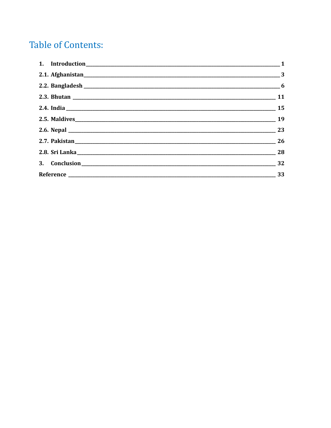# **Table of Contents:**

| 2.7. Pakistan 26 |  |
|------------------|--|
|                  |  |
| 3. Conclusion 22 |  |
|                  |  |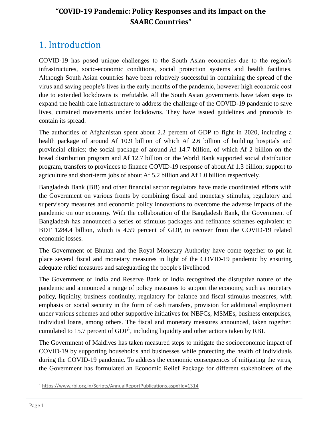### **"COVID-19 Pandemic: Policy Responses and its Impact on the SAARC Countries"**

# <span id="page-3-0"></span>1. Introduction

COVID-19 has posed unique challenges to the South Asian economies due to the region's infrastructures, socio-economic conditions, social protection systems and health facilities. Although South Asian countries have been relatively successful in containing the spread of the virus and saving people's lives in the early months of the pandemic, however high economic cost due to extended lockdowns is irrefutable. All the South Asian governments have taken steps to expand the health care infrastructure to address the challenge of the COVID-19 pandemic to save lives, curtained movements under lockdowns. They have issued guidelines and protocols to contain its spread.

The authorities of Afghanistan spent about 2.2 percent of GDP to fight in 2020, including a health package of around Af 10.9 billion of which Af 2.6 billion of building hospitals and provincial clinics; the social package of around Af 14.7 billion, of which Af 2 billion on the bread distribution program and Af 12.7 billion on the World Bank supported social distribution program, transfers to provinces to finance COVID-19 response of about Af 1.3 billion; support to agriculture and short-term jobs of about Af 5.2 billion and Af 1.0 billion respectively.

Bangladesh Bank (BB) and other financial sector regulators have made coordinated efforts with the Government on various fronts by combining fiscal and monetary stimulus, regulatory and supervisory measures and economic policy innovations to overcome the adverse impacts of the pandemic on our economy. With the collaboration of the Bangladesh Bank, the Government of Bangladesh has announced a series of stimulus packages and refinance schemes equivalent to BDT 1284.4 billion, which is 4.59 percent of GDP, to recover from the COVID-19 related economic losses.

The Government of Bhutan and the Royal Monetary Authority have come together to put in place several fiscal and monetary measures in light of the COVID-19 pandemic by ensuring adequate relief measures and safeguarding the people's livelihood.

The Government of India and Reserve Bank of India recognized the disruptive nature of the pandemic and announced a range of policy measures to support the economy, such as monetary policy, liquidity, business continuity, regulatory for balance and fiscal stimulus measures, with emphasis on social security in the form of cash transfers, provision for additional employment under various schemes and other supportive initiatives for NBFCs, MSMEs, business enterprises, individual loans, among others. The fiscal and monetary measures announced, taken together, cumulated to 15.7 percent of  $GDP<sup>1</sup>$ , including liquidity and other actions taken by RBI.

The Government of Maldives has taken measured steps to mitigate the socioeconomic impact of COVID-19 by supporting households and businesses while protecting the health of individuals during the COVID-19 pandemic. To address the economic consequences of mitigating the virus, the Government has formulated an Economic Relief Package for different stakeholders of the

 $\overline{a}$ 

<sup>1</sup> <https://www.rbi.org.in/Scripts/AnnualReportPublications.aspx?Id=1314>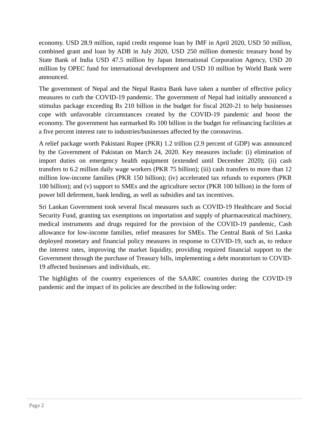economy. USD 28.9 million, rapid credit response loan by IMF in April 2020, USD 50 million, combined grant and loan by ADB in July 2020, USD 250 million domestic treasury bond by State Bank of India USD 47.5 million by Japan International Corporation Agency, USD 20 million by OPEC fund for international development and USD 10 million by World Bank were announced.

The government of Nepal and the Nepal Rastra Bank have taken a number of effective policy measures to curb the COVID-19 pandemic. The government of Nepal had initially announced a stimulus package exceeding Rs 210 billion in the budget for fiscal 2020-21 to help businesses cope with unfavorable circumstances created by the COVID-19 pandemic and boost the economy. The government has earmarked Rs 100 billion in the budget for refinancing facilities at a five percent interest rate to industries/businesses affected by the coronavirus.

A relief package worth Pakistani Rupee (PKR) 1.2 trillion (2.9 percent of GDP) was announced by the Government of Pakistan on March 24, 2020. Key measures include: (i) elimination of import duties on emergency health equipment (extended until December 2020); (ii) cash transfers to 6.2 million daily wage workers (PKR 75 billion); (iii) cash transfers to more than 12 million low-income families (PKR 150 billion); (iv) accelerated tax refunds to exporters (PKR 100 billion); and (v) support to SMEs and the agriculture sector (PKR 100 billion) in the form of power bill deferment, bank lending, as well as subsidies and tax incentives.

Sri Lankan Government took several fiscal measures such as COVID-19 Healthcare and Social Security Fund, granting tax exemptions on importation and supply of pharmaceutical machinery, medical instruments and drugs required for the provision of the COVID-19 pandemic, Cash allowance for low-income families, relief measures for SMEs. The Central Bank of Sri Lanka deployed monetary and financial policy measures in response to COVID-19, such as, to reduce the interest rates, improving the market liquidity, providing required financial support to the Government through the purchase of Treasury bills, implementing a debt moratorium to COVID-19 affected businesses and individuals, etc.

The highlights of the country experiences of the SAARC countries during the COVID-19 pandemic and the impact of its policies are described in the following order: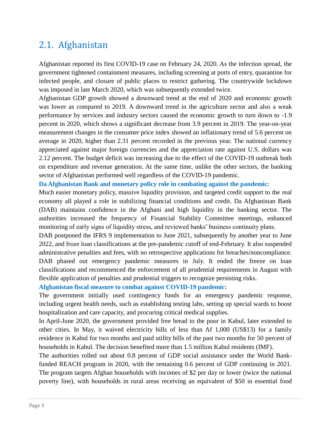### <span id="page-5-0"></span>2.1. Afghanistan

Afghanistan reported its first [COVID-19](https://www.arcgis.com/apps/opsdashboard/index.html#/bda7594740fd40299423467b48e9ecf6) case on February 24, 2020. As the infection spread, the government tightened containment measures, including screening at ports of entry, quarantine for infected people, and closure of public places to restrict gathering. The countrywide lockdown was imposed in late March 2020, which was subsequently extended twice.

Afghanistan GDP growth showed a downward trend at the end of 2020 and economic growth was lower as compared to 2019. A downward trend in the agriculture sector and also a weak performance by services and industry sectors caused the economic growth to turn down to -1.9 percent in 2020, which shows a significant decrease from 3.9 percent in 2019. The year-on-year measurement changes in the consumer price index showed an inflationary trend of 5.6 percent on average in 2020, higher than 2.31 percent recorded in the previous year. The national currency appreciated against major foreign currencies and the appreciation rate against U.S. dollars was 2.12 percent. The budget deficit was increasing due to the effect of the COVID-19 outbreak both on expenditure and revenue generation. At the same time, unlike the other sectors, the banking sector of Afghanistan performed well regardless of the COVID-19 pandemic.

#### **Da Afghanistan Bank and monetary policy role in combating against the pandemic:**

Much easier monetary policy, massive liquidity provision, and targeted credit support to the real economy all played a role in stabilizing financial conditions and credit. Da Afghanistan Bank (DAB) maintains confidence in the Afghani and high liquidity in the banking sector. The authorities increased the frequency of Financial Stability Committee meetings, enhanced monitoring of early signs of liquidity stress, and reviewed banks' business continuity plans.

DAB postponed the IFRS 9 implementation to June 2021, subsequently by another year to June 2022, and froze loan classifications at the pre-pandemic cutoff of end-February. It also suspended administrative penalties and fees, with no retrospective applications for breaches/noncompliance. DAB phased out emergency pandemic measures in July. It ended the freeze on loan classifications and recommenced the enforcement of all prudential requirements in August with flexible application of penalties and prudential triggers to recognize persisting risks.

#### **Afghanistan fiscal measure to combat against COVID-19 pandemic:**

The government initially used contingency funds for an emergency pandemic response, including urgent health needs, such as establishing testing labs, setting up special wards to boost hospitalization and care capacity, and procuring critical medical supplies.

In April-June 2020, the government provided free bread to the poor in Kabul, later extended to other cities. In May, it waived electricity bills of less than Af 1,000 (US\$13) for a family residence in Kabul for two months and paid utility bills of the past two months for 50 percent of households in Kabul. The decision benefited more than 1.5 million Kabul residents (IMF).

The authorities rolled out about 0.8 percent of GDP social assistance under the World Bankfunded REACH program in 2020, with the remaining 0.6 percent of GDP continuing in 2021. The program targets Afghan households with incomes of \$2 per day or lower (twice the national poverty line), with households in rural areas receiving an equivalent of \$50 in essential food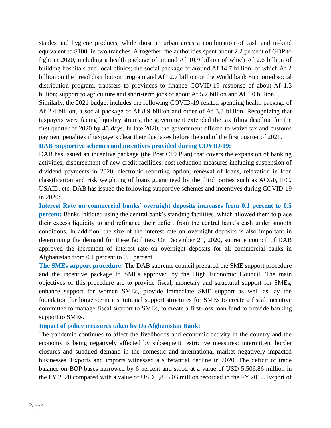staples and hygiene products, while those in urban areas a combination of cash and in-kind equivalent to \$100, in two tranches. Altogether, the authorities spent about 2.2 percent of GDP to fight in 2020, including a health package of around Af 10.9 billion of which Af 2.6 billion of building hospitals and local clinics; the social package of around Af 14.7 billion, of which Af 2 billion on the bread distribution program and Af 12.7 billion on the World bank Supported social distribution program, transfers to provinces to finance COVID-19 response of about Af 1.3 billion; support to agriculture and short-term jobs of about Af 5.2 billion and Af 1.0 billion.

Similarly, the 2021 budget includes the following COVID-19 related spending health package of Af 2.4 billion, a social package of Af 8.9 billion and other of Af 3.3 billion. Recognizing that taxpayers were facing liquidity strains, the government extended the tax filing deadline for the first quarter of 2020 by 45 days. In late 2020, the government offered to waive tax and customs payment penalties if taxpayers clear their due taxes before the end of the first quarter of 2021.

#### **DAB Supportive schemes and incentives provided during COVID-19:**

DAB has issued an incentive package (the Post C19 Plan) that covers the expansion of banking activities, disbursement of new credit facilities, cost reduction measures including suspension of dividend payments in 2020, electronic reporting option, renewal of loans, relaxation in loan classification and risk weighting of loans guaranteed by the third parties such as ACGF, IFC, USAID, etc. DAB has issued the following supportive schemes and incentives during COVID-19 in 2020:

**Interest Rate on commercial banks' overnight deposits increases from 0.1 percent to 0.5 percent:** Banks initiated using the central bank's standing facilities, which allowed them to place their excess liquidity to and refinance their deficit from the central bank's cash under smooth conditions. In addition, the size of the interest rate on overnight deposits is also important in determining the demand for these facilities. On December 21, 2020, supreme council of DAB approved the increment of interest rate on overnight deposits for all commercial banks in Afghanistan from 0.1 percent to 0.5 percent.

**The SMEs support procedure:** The DAB supreme council prepared the SME support procedure and the incentive package to SMEs approved by the High Economic Council. The main objectives of this procedure are to provide fiscal, monetary and structural support for SMEs, enhance support for women SMEs, provide immediate SME support as well as lay the foundation for longer-term institutional support structures for SMEs to create a fiscal incentive committee to manage fiscal support to SMEs, to create a first-loss loan fund to provide banking support to SMEs.

#### **Impact of policy measures taken by Da Afghanistan Bank:**

The pandemic continues to affect the livelihoods and economic activity in the country and the economy is being negatively affected by subsequent restrictive measures: intermittent border closures and subdued demand in the domestic and international market negatively impacted businesses. Exports and imports witnessed a substantial decline in 2020. The deficit of trade balance on BOP bases narrowed by 6 percent and stood at a value of USD 5,506.86 million in the FY 2020 compared with a value of USD 5,855.03 million recorded in the FY 2019. Export of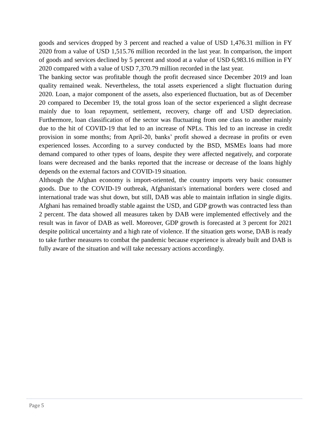goods and services dropped by 3 percent and reached a value of USD 1,476.31 million in FY 2020 from a value of USD 1,515.76 million recorded in the last year. In comparison, the import of goods and services declined by 5 percent and stood at a value of USD 6,983.16 million in FY 2020 compared with a value of USD 7,370.79 million recorded in the last year.

The banking sector was profitable though the profit decreased since December 2019 and loan quality remained weak. Nevertheless, the total assets experienced a slight fluctuation during 2020. Loan, a major component of the assets, also experienced fluctuation, but as of December 20 compared to December 19, the total gross loan of the sector experienced a slight decrease mainly due to loan repayment, settlement, recovery, charge off and USD depreciation. Furthermore, loan classification of the sector was fluctuating from one class to another mainly due to the hit of COVID-19 that led to an increase of NPLs. This led to an increase in credit provision in some months; from April-20, banks' profit showed a decrease in profits or even experienced losses. According to a survey conducted by the BSD, MSMEs loans had more demand compared to other types of loans, despite they were affected negatively, and corporate loans were decreased and the banks reported that the increase or decrease of the loans highly depends on the external factors and COVID-19 situation.

Although the Afghan economy is import-oriented, the country imports very basic consumer goods. Due to the COVID-19 outbreak, Afghanistan's international borders were closed and international trade was shut down, but still, DAB was able to maintain inflation in single digits. Afghani has remained broadly stable against the USD, and GDP growth was contracted less than 2 percent. The data showed all measures taken by DAB were implemented effectively and the result was in favor of DAB as well. Moreover, GDP growth is forecasted at 3 percent for 2021 despite political uncertainty and a high rate of violence. If the situation gets worse, DAB is ready to take further measures to combat the pandemic because experience is already built and DAB is fully aware of the situation and will take necessary actions accordingly.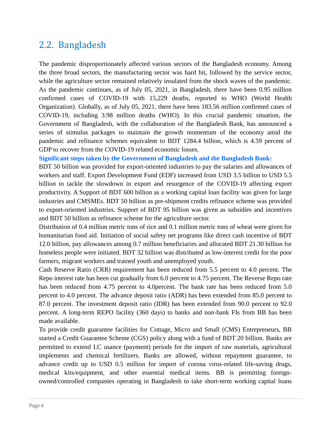### <span id="page-8-0"></span>2.2. Bangladesh

The pandemic disproportionately affected various sectors of the Bangladesh economy. Among the three broad sectors, the manufacturing sector was hard hit, followed by the service sector, while the agriculture sector remained relatively insulated from the shock waves of the pandemic. As the pandemic continues, as of July 05, 2021, in Bangladesh, there have been 0.95 million confirmed cases of COVID-19 with 15,229 deaths, reported to WHO (World Health Organization). Globally, as of July 05, 2021, there have been 183.56 million confirmed cases of COVID-19, including 3.98 million deaths (WHO). In this crucial pandemic situation, the Government of Bangladesh, with the collaboration of the Bangladesh Bank, has announced a series of stimulus packages to maintain the growth momentum of the economy amid the pandemic and refinance schemes equivalent to BDT 1284.4 billion, which is 4.59 percent of GDP to recover from the COVID-19 related economic losses.

**Significant steps taken by the Government of Bangladesh and the Bangladesh Bank:**

BDT 50 billion was provided for export-oriented industries to pay the salaries and allowances of workers and staff. Export Development Fund (EDF) increased from USD 3.5 billion to USD 5.5 billion to tackle the slowdown in export and resurgence of the COVID-19 affecting export productivity. A Support of BDT 600 billion as a working capital loan facility was given for large industries and CMSMEs. BDT 50 billion as pre-shipment credits refinance scheme was provided to export-oriented industries. Support of BDT 95 billion was given as subsidies and incentives and BDT 50 billion as refinance scheme for the agriculture sector.

Distribution of 0.4 million metric tons of rice and 0.1 million metric tons of wheat were given for humanitarian food aid. Initiation of social safety net programs like direct cash incentive of BDT 12.0 billion, pay allowances among 0.7 million beneficiaries and allocated BDT 21.30 billion for homeless people were initiated. BDT 32 billion was distributed as low-interest credit for the poor farmers, migrant workers and trained youth and unemployed youth.

Cash Reserve Ratio (CRR) requirement has been reduced from 5.5 percent to 4.0 percent. The Repo interest rate has been cut gradually from 6.0 percent to 4.75 percent. The Reverse Repo rate has been reduced from 4.75 percent to 4.0 percent. The bank rate has been reduced from 5.0 percent to 4.0 percent. The advance deposit ratio (ADR) has been extended from 85.0 percent to 87.0 percent. The investment deposit ratio (IDR) has been extended from 90.0 percent to 92.0 percent. A long-term REPO facility (360 days) to banks and non-bank FIs from BB has been made available.

To provide credit guarantee facilities for Cottage, Micro and Small (CMS) Entrepreneurs, BB started a Credit Guarantee Scheme (CGS) policy along with a fund of BDT 20 billion. Banks are permitted to extend LC usance (payment) periods for the import of raw materials, agricultural implements and chemical fertilizers. Banks are allowed, without repayment guarantee, to advance credit up to USD 0.5 million for import of corona virus-related life-saving drugs, medical kits/equipment, and other essential medical items. BB is permitting foreignowned/controlled companies operating in Bangladesh to take short-term working capital loans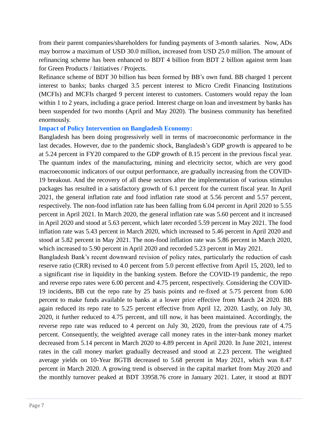from their parent companies/shareholders for funding payments of 3-month salaries. Now, ADs may borrow a maximum of USD 30.0 million, increased from USD 25.0 million. The amount of refinancing scheme has been enhanced to BDT 4 billion from BDT 2 billion against term loan for Green Products / Initiatives / Projects.

Refinance scheme of BDT 30 billion has been formed by BB's own fund. BB charged 1 percent interest to banks; banks charged 3.5 percent interest to Micro Credit Financing Institutions (MCFIs) and MCFIs charged 9 percent interest to customers. Customers would repay the loan within 1 to 2 years, including a grace period. Interest charge on loan and investment by banks has been suspended for two months (April and May 2020). The business community has benefited enormously.

#### **Impact of Policy Intervention on Bangladesh Economy:**

Bangladesh has been doing progressively well in terms of macroeconomic performance in the last decades. However, due to the pandemic shock, Bangladesh's GDP growth is appeared to be at 5.24 percent in FY20 compared to the GDP growth of 8.15 percent in the previous fiscal year. The quantum index of the manufacturing, mining and electricity sector, which are very good macroeconomic indicators of our output performance, are gradually increasing from the COVID-19 breakout. And the recovery of all these sectors after the implementation of various stimulus packages has resulted in a satisfactory growth of 6.1 percent for the current fiscal year. In April 2021, the general inflation rate and food inflation rate stood at 5.56 percent and 5.57 percent, respectively. The non-food inflation rate has been falling from 6.04 percent in April 2020 to 5.55 percent in April 2021. In March 2020, the general inflation rate was 5.60 percent and it increased in April 2020 and stood at 5.63 percent, which later recorded 5.59 percent in May 2021. The food inflation rate was 5.43 percent in March 2020, which increased to 5.46 percent in April 2020 and stood at 5.82 percent in May 2021. The non-food inflation rate was 5.86 percent in March 2020, which increased to 5.90 percent in April 2020 and recorded 5.23 percent in May 2021.

Bangladesh Bank's recent downward revision of policy rates, particularly the reduction of cash reserve ratio (CRR) revised to 4.0 percent from 5.0 percent effective from April 15, 2020, led to a significant rise in liquidity in the banking system. Before the COVID-19 pandemic, the repo and reverse repo rates were 6.00 percent and 4.75 percent, respectively. Considering the COVID-19 incidents, BB cut the repo rate by 25 basis points and re-fixed at 5.75 percent from 6.00 percent to make funds available to banks at a lower price effective from March 24 2020. BB again reduced its repo rate to 5.25 percent effective from April 12, 2020. Lastly, on July 30, 2020, it further reduced to 4.75 percent, and till now, it has been maintained. Accordingly, the reverse repo rate was reduced to 4 percent on July 30, 2020, from the previous rate of 4.75 percent. Consequently, the weighted average call money rates in the inter-bank money market decreased from 5.14 percent in March 2020 to 4.89 percent in April 2020. In June 2021, interest rates in the call money market gradually decreased and stood at 2.23 percent. The weighted average yields on 10-Year BGTB decreased to 5.68 percent in May 2021, which was 8.47 percent in March 2020. A growing trend is observed in the capital market from May 2020 and the monthly turnover peaked at BDT 33958.76 crore in January 2021. Later, it stood at BDT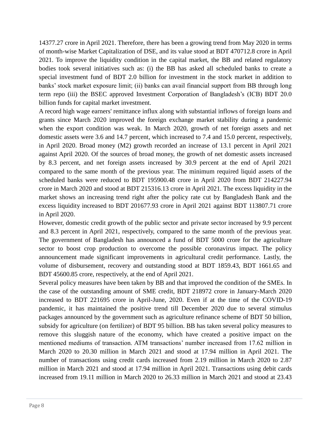14377.27 crore in April 2021. Therefore, there has been a growing trend from May 2020 in terms of month-wise Market Capitalization of DSE, and its value stood at BDT 470712.8 crore in April 2021. To improve the liquidity condition in the capital market, the BB and related regulatory bodies took several initiatives such as: (i) the BB has asked all scheduled banks to create a special investment fund of BDT 2.0 billion for investment in the stock market in addition to banks' stock market exposure limit; (ii) banks can avail financial support from BB through long term repo (iii) the BSEC approved Investment Corporation of Bangladesh's (ICB) BDT 20.0 billion funds for capital market investment.

A record high wage earners' remittance influx along with substantial inflows of foreign loans and grants since March 2020 improved the foreign exchange market stability during a pandemic when the export condition was weak. In March 2020, growth of net foreign assets and net domestic assets were 3.6 and 14.7 percent, which increased to 7.4 and 15.0 percent, respectively, in April 2020. Broad money (M2) growth recorded an increase of 13.1 percent in April 2021 against April 2020. Of the sources of broad money, the growth of net domestic assets increased by 8.3 percent, and net foreign assets increased by 30.9 percent at the end of April 2021 compared to the same month of the previous year. The minimum required liquid assets of the scheduled banks were reduced to BDT 195900.48 crore in April 2020 from BDT 214227.94 crore in March 2020 and stood at BDT 215316.13 crore in April 2021. The excess liquidity in the market shows an increasing trend right after the policy rate cut by Bangladesh Bank and the excess liquidity increased to BDT 201677.93 crore in April 2021 against BDT 113807.71 crore in April 2020.

However, domestic credit growth of the public sector and private sector increased by 9.9 percent and 8.3 percent in April 2021, respectively, compared to the same month of the previous year. The government of Bangladesh has announced a fund of BDT 5000 crore for the agriculture sector to boost crop production to overcome the possible coronavirus impact. The policy announcement made significant improvements in agricultural credit performance. Lastly, the volume of disbursement, recovery and outstanding stood at BDT 1859.43, BDT 1661.65 and BDT 45600.85 crore, respectively, at the end of April 2021.

Several policy measures have been taken by BB and that improved the condition of the SMEs. In the case of the outstanding amount of SME credit, BDT 218972 crore in January-March 2020 increased to BDT 221695 crore in April-June, 2020. Even if at the time of the COVID-19 pandemic, it has maintained the positive trend till December 2020 due to several stimulus packages announced by the government such as agriculture refinance scheme of BDT 50 billion, subsidy for agriculture (on fertilizer) of BDT 95 billion. BB has taken several policy measures to remove this sluggish nature of the economy, which have created a positive impact on the mentioned mediums of transaction. ATM transactions' number increased from 17.62 million in March 2020 to 20.30 million in March 2021 and stood at 17.94 million in April 2021. The number of transactions using credit cards increased from 2.19 million in March 2020 to 2.87 million in March 2021 and stood at 17.94 million in April 2021. Transactions using debit cards increased from 19.11 million in March 2020 to 26.33 million in March 2021 and stood at 23.43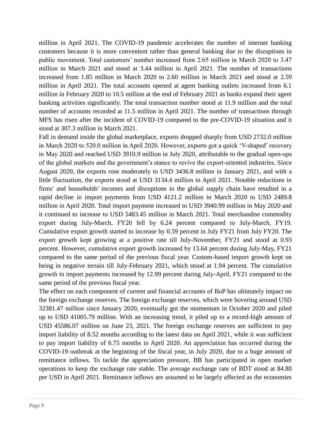million in April 2021. The COVID-19 pandemic accelerates the number of internet banking customers because it is more convenient rather than general banking due to the disruptions in public movement. Total customers' number increased from 2.65 million in March 2020 to 3.47 million in March 2021 and stood at 3.44 million in April 2021. The number of transactions increased from 1.85 million in March 2020 to 2.60 million in March 2021 and stood at 2.59 million in April 2021. The total accounts opened at agent banking outlets increased from 6.1 million in February 2020 to 10.5 million at the end of February 2021 as banks expand their agent banking activities significantly. The total transaction number stood at 11.9 million and the total number of accounts recorded at 11.5 million in April 2021. The number of transactions through MFS has risen after the incident of COVID-19 compared to the pre-COVID-19 situation and it stood at 307.3 million in March 2021.

Fall in demand inside the global marketplace, exports dropped sharply from USD 2732.0 million in March 2020 to 520.0 million in April 2020. However, exports got a quick 'V-shaped' recovery in May 2020 and reached USD 3910.9 million in July 2020, attributable to the gradual open-ups of the global markets and the government's stance to revive the export-oriented industries. Since August 2020, the exports rose moderately to USD 3436.8 million in January 2021, and with a little fluctuation, the exports stood at USD 3134.4 million in April 2021. Notable reductions in firms' and households' incomes and disruptions in the global supply chain have resulted in a rapid decline in import payments from USD 4121.2 million in March 2020 to USD 2489.8 million in April 2020. Total import payment increased to USD 3940.99 million in May 2020 and it continued to increase to USD 5483.45 million in March 2021. Total merchandise commodity export during July-March, FY20 fell by 6.24 percent compared to July-March, FY19. Cumulative export growth started to increase by 0.59 percent in July FY21 from July FY20. The export growth kept growing at a positive rate till July-November, FY21 and stood at 0.93 percent. However, cumulative export growth increased by 13.64 percent during July-May, FY21 compared to the same period of the previous fiscal year. Custom-based import growth kept on being in negative terrain till July-February 2021, which stood at 1.94 percent. The cumulative growth in import payments increased by 12.99 percent during July-April, FY21 compared to the same period of the previous fiscal year.

The effect on each component of current and financial accounts of BoP has ultimately impact on the foreign exchange reserves. The foreign exchange reserves, which were hovering around USD 32381.47 million since January 2020, eventually got the momentum in October 2020 and piled up to USD 41005.79 million. With an increasing trend, it piled up to a record-high amount of USD 45586.07 million on June 23, 2021. The foreign exchange reserves are sufficient to pay import liability of 8.52 months according to the latest data on April 2021, while it was sufficient to pay import liability of 6.75 months in April 2020. An appreciation has occurred during the COVID-19 outbreak at the beginning of the fiscal year, in July 2020, due to a huge amount of remittance inflows. To tackle the appreciation pressure, BB has participated in open market operations to keep the exchange rate stable. The average exchange rate of BDT stood at 84.80 per USD in April 2021. Remittance inflows are assumed to be largely affected as the economies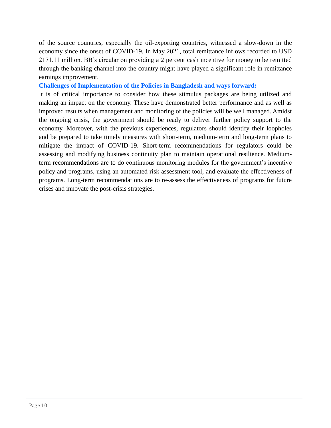of the source countries, especially the oil-exporting countries, witnessed a slow-down in the economy since the onset of COVID-19. In May 2021, total remittance inflows recorded to USD 2171.11 million. BB's circular on providing a 2 percent cash incentive for money to be remitted through the banking channel into the country might have played a significant role in remittance earnings improvement.

**Challenges of Implementation of the Policies in Bangladesh and ways forward:**

It is of critical importance to consider how these stimulus packages are being utilized and making an impact on the economy. These have demonstrated better performance and as well as improved results when management and monitoring of the policies will be well managed. Amidst the ongoing crisis, the government should be ready to deliver further policy support to the economy. Moreover, with the previous experiences, regulators should identify their loopholes and be prepared to take timely measures with short-term, medium-term and long-term plans to mitigate the impact of COVID-19. Short-term recommendations for regulators could be assessing and modifying business continuity plan to maintain operational resilience. Mediumterm recommendations are to do continuous monitoring modules for the government's incentive policy and programs, using an automated risk assessment tool, and evaluate the effectiveness of programs. Long-term recommendations are to re-assess the effectiveness of programs for future crises and innovate the post-crisis strategies.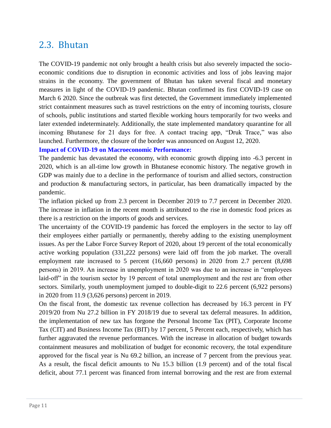### <span id="page-13-0"></span>2.3. Bhutan

The COVID-19 pandemic not only brought a health crisis but also severely impacted the socioeconomic conditions due to disruption in economic activities and loss of jobs leaving major strains in the economy. The government of Bhutan has taken several fiscal and monetary measures in light of the COVID-19 pandemic. Bhutan confirmed its first COVID-19 case on March 6 2020. Since the outbreak was first detected, the Government immediately implemented strict containment measures such as travel restrictions on the entry of incoming tourists, closure of schools, public institutions and started flexible working hours temporarily for two weeks and later extended indeterminately. Additionally, the state implemented mandatory quarantine for all incoming Bhutanese for 21 days for free. A contact tracing app, "Druk Trace," was also launched. Furthermore, the closure of the border was announced on August 12, 2020.

#### **Impact of COVID-19 on Macroeconomic Performance:**

The pandemic has devastated the economy, with economic growth dipping into -6.3 percent in 2020, which is an all-time low growth in Bhutanese economic history. The negative growth in GDP was mainly due to a decline in the performance of tourism and allied sectors, construction and production & manufacturing sectors, in particular, has been dramatically impacted by the pandemic.

The inflation picked up from 2.3 percent in December 2019 to 7.7 percent in December 2020. The increase in inflation in the recent month is attributed to the rise in domestic food prices as there is a restriction on the imports of goods and services.

The uncertainty of the COVID-19 pandemic has forced the employers in the sector to lay off their employees either partially or permanently, thereby adding to the existing unemployment issues. As per the Labor Force Survey Report of 2020, about 19 percent of the total economically active working population (331,222 persons) were laid off from the job market. The overall employment rate increased to 5 percent (16,660 persons) in 2020 from 2.7 percent (8,698 persons) in 2019. An increase in unemployment in 2020 was due to an increase in "employees laid-off" in the tourism sector by 19 percent of total unemployment and the rest are from other sectors. Similarly, youth unemployment jumped to double-digit to 22.6 percent (6,922 persons) in 2020 from 11.9 (3,626 persons) percent in 2019.

On the fiscal front, the domestic tax revenue collection has decreased by 16.3 percent in FY 2019/20 from Nu 27.2 billion in FY 2018/19 due to several tax deferral measures. In addition, the implementation of new tax has forgone the Personal Income Tax (PIT), Corporate Income Tax (CIT) and Business Income Tax (BIT) by 17 percent, 5 Percent each, respectively, which has further aggravated the revenue performances. With the increase in allocation of budget towards containment measures and mobilization of budget for economic recovery, the total expenditure approved for the fiscal year is Nu 69.2 billion, an increase of 7 percent from the previous year. As a result, the fiscal deficit amounts to Nu 15.3 billion (1.9 percent) and of the total fiscal deficit, about 77.1 percent was financed from internal borrowing and the rest are from external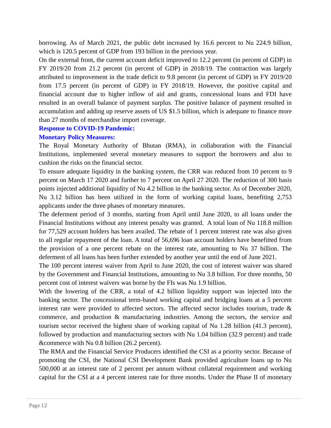borrowing. As of March 2021, the public debt increased by 16.6 percent to Nu 224.9 billion, which is 120.5 percent of GDP from 193 billion in the previous year.

On the external front, the current account deficit improved to 12.2 percent (in percent of GDP) in FY 2019/20 from 21.2 percent (in percent of GDP) in 2018/19. The contraction was largely attributed to improvement in the trade deficit to 9.8 percent (in percent of GDP) in FY 2019/20 from 17.5 percent (in percent of GDP) in FY 2018/19. However, the positive capital and financial account due to higher inflow of aid and grants, concessional loans and FDI have resulted in an overall balance of payment surplus. The positive balance of payment resulted in accumulation and adding up reserve assets of US \$1.5 billion, which is adequate to finance more than 27 months of merchandise import coverage.

#### **Response to COVID-19 Pandemic:**

#### **Monetary Policy Measures:**

The Royal Monetary Authority of Bhutan (RMA), in collaboration with the Financial Institutions, implemented several monetary measures to support the borrowers and also to cushion the risks on the financial sector.

To ensure adequate liquidity in the banking system, the CRR was reduced from 10 percent to 9 percent on March 17 2020 and further to 7 percent on April 27 2020. The reduction of 300 basis points injected additional liquidity of Nu 4.2 billion in the banking sector. As of December 2020, Nu 3.12 billion has been utilized in the form of working capital loans, benefiting 2,753 applicants under the three phases of monetary measures.

The deferment period of 3 months, starting from April until June 2020, to all loans under the Financial Institutions without any interest penalty was granted. A total loan of Nu 118.8 million for 77,529 account holders has been availed. The rebate of 1 percent interest rate was also given to all regular repayment of the loan. A total of 56,696 loan account holders have benefitted from the provision of a one percent rebate on the interest rate, amounting to Nu 37 billion. The deferment of all loans has been further extended by another year until the end of June 2021.

The 100 percent interest waiver from April to June 2020, the cost of interest waiver was shared by the Government and Financial Institutions, amounting to Nu 3.8 billion. For three months, 50 percent cost of interest waivers was borne by the FIs was Nu 1.9 billion.

With the lowering of the CRR, a total of 4.2 billion liquidity support was injected into the banking sector. The concessional term-based working capital and bridging loans at a 5 percent interest rate were provided to affected sectors. The affected sector includes tourism, trade  $\&$ commerce, and production & manufacturing industries. Among the sectors, the service and tourism sector received the highest share of working capital of Nu 1.28 billion (41.3 percent), followed by production and manufacturing sectors with Nu 1.04 billion (32.9 percent) and trade &commerce with Nu 0.8 billion (26.2 percent).

The RMA and the Financial Service Producers identified the CSI as a priority sector. Because of promoting the CSI, the National CSI Development Bank provided agriculture loans up to Nu 500,000 at an interest rate of 2 percent per annum without collateral requirement and working capital for the CSI at a 4 percent interest rate for three months. Under the Phase II of monetary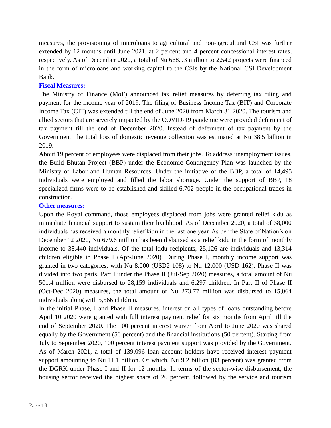measures, the provisioning of microloans to agricultural and non-agricultural CSI was further extended by 12 months until June 2021, at 2 percent and 4 percent concessional interest rates, respectively. As of December 2020, a total of Nu 668.93 million to 2,542 projects were financed in the form of microloans and working capital to the CSIs by the National CSI Development Bank.

#### **Fiscal Measures:**

The Ministry of Finance (MoF) announced tax relief measures by deferring tax filing and payment for the income year of 2019. The filing of Business Income Tax (BIT) and Corporate Income Tax (CIT) was extended till the end of June 2020 from March 31 2020. The tourism and allied sectors that are severely impacted by the COVID-19 pandemic were provided deferment of tax payment till the end of December 2020. Instead of deferment of tax payment by the Government, the total loss of domestic revenue collection was estimated at Nu 38.5 billion in 2019.

About 19 percent of employees were displaced from their jobs. To address unemployment issues, the Build Bhutan Project (BBP) under the Economic Contingency Plan was launched by the Ministry of Labor and Human Resources. Under the initiative of the BBP, a total of 14,495 individuals were employed and filled the labor shortage. Under the support of BBP, 18 specialized firms were to be established and skilled 6,702 people in the occupational trades in construction.

#### **Other measures:**

Upon the Royal command, those employees displaced from jobs were granted relief kidu as immediate financial support to sustain their livelihood. As of December 2020, a total of 38,000 individuals has received a monthly relief kidu in the last one year. As per the State of Nation's on December 12 2020, Nu 679.6 million has been disbursed as a relief kidu in the form of monthly income to 38,440 individuals. Of the total kidu recipients, 25,126 are individuals and 13,314 children eligible in Phase I (Apr-June 2020). During Phase I, monthly income support was granted in two categories, with Nu 8,000 (USD2 108) to Nu 12,000 (USD 162). Phase II was divided into two parts. Part I under the Phase II (Jul-Sep 2020) measures, a total amount of Nu 501.4 million were disbursed to 28,159 individuals and 6,297 children. In Part II of Phase II (Oct-Dec 2020) measures, the total amount of Nu 273.77 million was disbursed to 15,064 individuals along with 5,566 children.

In the initial Phase, I and Phase II measures, interest on all types of loans outstanding before April 10 2020 were granted with full interest payment relief for six months from April till the end of September 2020. The 100 percent interest waiver from April to June 2020 was shared equally by the Government (50 percent) and the financial institutions (50 percent). Starting from July to September 2020, 100 percent interest payment support was provided by the Government. As of March 2021, a total of 139,096 loan account holders have received interest payment support amounting to Nu 11.1 billion. Of which, Nu 9.2 billion (83 percent) was granted from the DGRK under Phase I and II for 12 months. In terms of the sector-wise disbursement, the housing sector received the highest share of 26 percent, followed by the service and tourism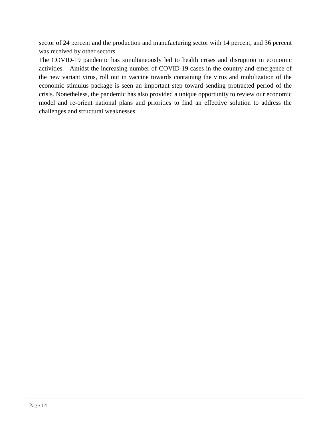sector of 24 percent and the production and manufacturing sector with 14 percent, and 36 percent was received by other sectors.

The COVID-19 pandemic has simultaneously led to health crises and disruption in economic activities. Amidst the increasing number of COVID-19 cases in the country and emergence of the new variant virus, roll out in vaccine towards containing the virus and mobilization of the economic stimulus package is seen an important step toward sending protracted period of the crisis. Nonetheless, the pandemic has also provided a unique opportunity to review our economic model and re-orient national plans and priorities to find an effective solution to address the challenges and structural weaknesses.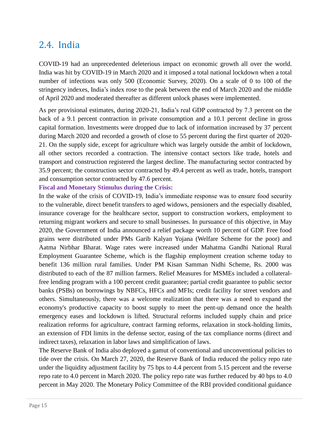### <span id="page-17-0"></span>2.4. India

COVID-19 had an unprecedented deleterious impact on economic growth all over the world. India was hit by COVID-19 in March 2020 and it imposed a total national lockdown when a total number of infections was only 500 (Economic Survey, 2020). On a scale of 0 to 100 of the stringency indexes, India's index rose to the peak between the end of March 2020 and the middle of April 2020 and moderated thereafter as different unlock phases were implemented.

As per provisional estimates, during 2020-21, India's real GDP contracted by 7.3 percent on the back of a 9.1 percent contraction in private consumption and a 10.1 percent decline in gross capital formation. Investments were dropped due to lack of information increased by 37 percent during March 2020 and recorded a growth of close to 55 percent during the first quarter of 2020- 21. On the supply side, except for agriculture which was largely outside the ambit of lockdown, all other sectors recorded a contraction. The intensive contact sectors like trade, hotels and transport and construction registered the largest decline. The manufacturing sector contracted by 35.9 percent; the construction sector contracted by 49.4 percent as well as trade, hotels, transport and consumption sector contracted by 47.6 percent.

#### **Fiscal and Monetary Stimulus during the Crisis:**

In the wake of the crisis of COVID-19, India's immediate response was to ensure food security to the vulnerable, direct benefit transfers to aged widows, pensioners and the especially disabled, insurance coverage for the healthcare sector, support to construction workers, employment to returning migrant workers and secure to small businesses. In pursuance of this objective, in May 2020, the Government of India announced a relief package worth 10 percent of GDP. Free food grains were distributed under PMs Garib Kalyan Yojana (Welfare Scheme for the poor) and Aatma Nirbhar Bharat. Wage rates were increased under Mahatma Gandhi National Rural Employment Guarantee Scheme, which is the flagship employment creation scheme today to benefit 136 million rural families. Under PM Kisan Samman Nidhi Scheme, Rs. 2000 was distributed to each of the 87 million farmers. Relief Measures for MSMEs included a collateralfree lending program with a 100 percent credit guarantee; partial credit guarantee to public sector banks (PSBs) on borrowings by NBFCs, HFCs and MFIs; credit facility for street vendors and others. Simultaneously, there was a welcome realization that there was a need to expand the economy's productive capacity to boost supply to meet the pent-up demand once the health emergency eases and lockdown is lifted. Structural reforms included supply chain and price realization reforms for agriculture, contract farming reforms, relaxation in stock-holding limits, an extension of FDI limits in the defense sector, easing of the tax compliance norms (direct and indirect taxes), relaxation in labor laws and simplification of laws.

The Reserve Bank of India also deployed a gamut of conventional and unconventional policies to tide over the crisis. On March 27, 2020, the Reserve Bank of India reduced the policy repo rate under the liquidity adjustment facility by 75 bps to 4.4 percent from 5.15 percent and the reverse repo rate to 4.0 percent in March 2020. The policy repo rate was further reduced by 40 bps to 4.0 percent in May 2020. The Monetary Policy Committee of the RBI provided conditional guidance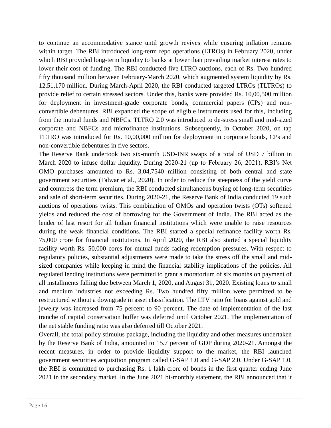to continue an accommodative stance until growth revives while ensuring inflation remains within target. The RBI introduced long-term repo operations (LTROs) in February 2020, under which RBI provided long-term liquidity to banks at lower than prevailing market interest rates to lower their cost of funding. The RBI conducted five LTRO auctions, each of Rs. Two hundred fifty thousand million between February-March 2020, which augmented system liquidity by Rs. 12,51,170 million. During March-April 2020, the RBI conducted targeted LTROs (TLTROs) to provide relief to certain stressed sectors. Under this, banks were provided Rs. 10,00,500 million for deployment in investment-grade corporate bonds, commercial papers (CPs) and nonconvertible debentures. RBI expanded the scope of eligible instruments used for this, including from the mutual funds and NBFCs. TLTRO 2.0 was introduced to de-stress small and mid-sized corporate and NBFCs and microfinance institutions. Subsequently, in October 2020, on tap TLTRO was introduced for Rs. 10,00,000 million for deployment in corporate bonds, CPs and non-convertible debentures in five sectors.

The Reserve Bank undertook two six-month USD-INR swaps of a total of USD 7 billion in March 2020 to infuse dollar liquidity. During 2020-21 (up to February 26, 2021), RBI's Net OMO purchases amounted to Rs. 3,04,7540 million consisting of both central and state government securities (Talwar et al., 2020). In order to reduce the steepness of the yield curve and compress the term premium, the RBI conducted simultaneous buying of long-term securities and sale of short-term securities. During 2020-21, the Reserve Bank of India conducted 19 such auctions of operations twists. This combination of OMOs and operation twists (OTs) softened yields and reduced the cost of borrowing for the Government of India. The RBI acted as the lender of last resort for all Indian financial institutions which were unable to raise resources during the weak financial conditions. The RBI started a special refinance facility worth Rs. 75,000 crore for financial institutions. In April 2020, the RBI also started a special liquidity facility worth Rs. 50,000 cores for mutual funds facing redemption pressures. With respect to regulatory policies, substantial adjustments were made to take the stress off the small and midsized companies while keeping in mind the financial stability implications of the policies. All regulated lending institutions were permitted to grant a moratorium of six months on payment of all installments falling due between March 1, 2020, and August 31, 2020. Existing loans to small and medium industries not exceeding Rs. Two hundred fifty million were permitted to be restructured without a downgrade in asset classification. The LTV ratio for loans against gold and jewelry was increased from 75 percent to 90 percent. The date of implementation of the last tranche of capital conservation buffer was deferred until October 2021. The implementation of the net stable funding ratio was also deferred till October 2021.

Overall, the total policy stimulus package, including the liquidity and other measures undertaken by the Reserve Bank of India, amounted to 15.7 percent of GDP during 2020-21. Amongst the recent measures, in order to provide liquidity support to the market, the RBI launched government securities acquisition program called G-SAP 1.0 and G-SAP 2.0. Under G-SAP 1.0, the RBI is committed to purchasing Rs. 1 lakh crore of bonds in the first quarter ending June 2021 in the secondary market. In the June 2021 bi-monthly statement, the RBI announced that it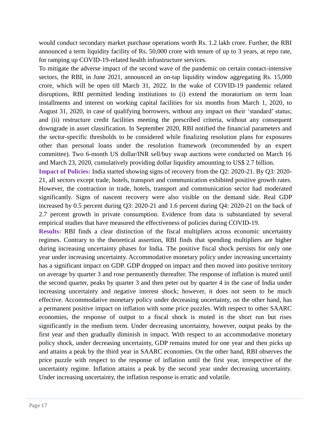would conduct secondary market purchase operations worth Rs. 1.2 lakh crore. Further, the RBI announced a term liquidity facility of Rs. 50,000 crore with tenure of up to 3 years, at repo rate, for ramping up COVID-19-related health infrastructure services.

To mitigate the adverse impact of the second wave of the pandemic on certain contact-intensive sectors, the RBI, in June 2021, announced an on-tap liquidity window aggregating Rs. 15,000 crore, which will be open till March 31, 2022. In the wake of COVID-19 pandemic related disruptions, RBI permitted lending institutions to (i) extend the moratorium on term loan installments and interest on working capital facilities for six months from March 1, 2020, to August 31, 2020, in case of qualifying borrowers, without any impact on their 'standard' status; and (ii) restructure credit facilities meeting the prescribed criteria, without any consequent downgrade in asset classification. In September 2020, RBI notified the financial parameters and the sector-specific thresholds to be considered while finalizing resolution plans for exposures other than personal loans under the resolution framework (recommended by an expert committee). Two 6-month US dollar/INR sell/buy swap auctions were conducted on March 16 and March 23, 2020, cumulatively providing dollar liquidity amounting to US\$ 2.7 billion.

**Impact of Policies:** India started showing signs of recovery from the Q2: 2020-21. By Q3: 2020- 21, all sectors except trade, hotels, transport and communication exhibited positive growth rates. However, the contraction in trade, hotels, transport and communication sector had moderated significantly. Signs of nascent recovery were also visible on the demand side. Real GDP increased by 0.5 percent during Q3: 2020-21 and 1.6 percent during Q4: 2020-21 on the back of 2.7 percent growth in private consumption. Evidence from data is substantiated by several empirical studies that have measured the effectiveness of policies during COVID-19.

**Results:** RBI finds a clear distinction of the fiscal multipliers across economic uncertainty regimes. Contrary to the theoretical assertion, RBI finds that spending multipliers are higher during increasing uncertainty phases for India. The positive fiscal shock persists for only one year under increasing uncertainty. Accommodative monetary policy under increasing uncertainty has a significant impact on GDP. GDP dropped on impact and then moved into positive territory on average by quarter 3 and rose permanently thereafter. The response of inflation is muted until the second quarter, peaks by quarter 3 and then peter out by quarter 4 in the case of India under increasing uncertainty and negative interest shock; however, it does not seem to be much effective. Accommodative monetary policy under decreasing uncertainty, on the other hand, has a permanent positive impact on inflation with some price puzzles. With respect to other SAARC economies, the response of output to a fiscal shock is muted in the short run but rises significantly in the medium term. Under decreasing uncertainty, however, output peaks by the first year and then gradually diminish in impact. With respect to an accommodative monetary policy shock, under decreasing uncertainty, GDP remains muted for one year and then picks up and attains a peak by the third year in SAARC economies. On the other hand, RBI observes the price puzzle with respect to the response of inflation until the first year, irrespective of the uncertainty regime. Inflation attains a peak by the second year under decreasing uncertainty. Under increasing uncertainty, the inflation response is erratic and volatile.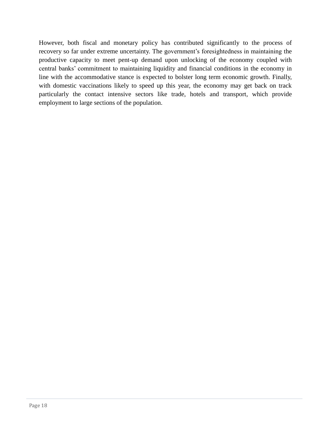However, both fiscal and monetary policy has contributed significantly to the process of recovery so far under extreme uncertainty. The government's foresightedness in maintaining the productive capacity to meet pent-up demand upon unlocking of the economy coupled with central banks' commitment to maintaining liquidity and financial conditions in the economy in line with the accommodative stance is expected to bolster long term economic growth. Finally, with domestic vaccinations likely to speed up this year, the economy may get back on track particularly the contact intensive sectors like trade, hotels and transport, which provide employment to large sections of the population.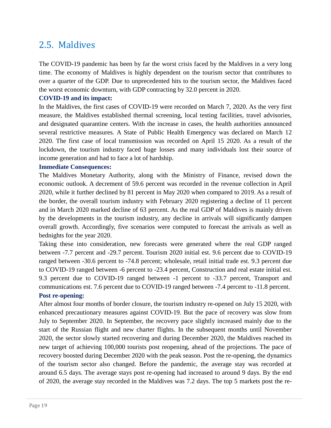### <span id="page-21-0"></span>2.5. Maldives

The COVID-19 pandemic has been by far the worst crisis faced by the Maldives in a very long time. The economy of Maldives is highly dependent on the tourism sector that contributes to over a quarter of the GDP. Due to unprecedented hits to the tourism sector, the Maldives faced the worst economic downturn, with GDP contracting by 32.0 percent in 2020.

#### **COVID-19 and its impact:**

In the Maldives, the first cases of COVID-19 were recorded on March 7, 2020. As the very first measure, the Maldives established thermal screening, local testing facilities, travel advisories, and designated quarantine centers. With the increase in cases, the health authorities announced several restrictive measures. A State of Public Health Emergency was declared on March 12 2020. The first case of local transmission was recorded on April 15 2020. As a result of the lockdown, the tourism industry faced huge losses and many individuals lost their source of income generation and had to face a lot of hardship.

#### **Immediate Consequences:**

The Maldives Monetary Authority, along with the Ministry of Finance, revised down the economic outlook. A decrement of 59.6 percent was recorded in the revenue collection in April 2020, while it further declined by 81 percent in May 2020 when compared to 2019. As a result of the border, the overall tourism industry with February 2020 registering a decline of 11 percent and in March 2020 marked decline of 63 percent. As the real GDP of Maldives is mainly driven by the developments in the tourism industry, any decline in arrivals will significantly dampen overall growth. Accordingly, five scenarios were computed to forecast the arrivals as well as bednights for the year 2020.

Taking these into consideration, new forecasts were generated where the real GDP ranged between -7.7 percent and -29.7 percent. Tourism 2020 initial est. 9.6 percent due to COVID-19 ranged between -30.6 percent to -74.8 percent; wholesale, retail initial trade est. 9.3 percent due to COVID-19 ranged between -6 percent to -23.4 percent, Construction and real estate initial est. 9.3 percent due to COVID-19 ranged between -1 percent to -33.7 percent, Transport and communications est. 7.6 percent due to COVID-19 ranged between -7.4 percent to -11.8 percent. **Post re-opening:**

After almost four months of border closure, the tourism industry re-opened on July 15 2020, with enhanced precautionary measures against COVID-19. But the pace of recovery was slow from July to September 2020. In September, the recovery pace slightly increased mainly due to the start of the Russian flight and new charter flights. In the subsequent months until November 2020, the sector slowly started recovering and during December 2020, the Maldives reached its new target of achieving 100,000 tourists post reopening, ahead of the projections. The pace of recovery boosted during December 2020 with the peak season. Post the re-opening, the dynamics of the tourism sector also changed. Before the pandemic, the average stay was recorded at around 6.5 days. The average stays post re-opening had increased to around 9 days. By the end of 2020, the average stay recorded in the Maldives was 7.2 days. The top 5 markets post the re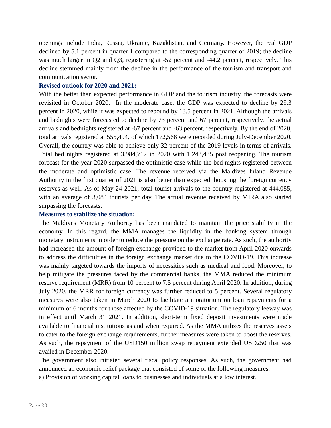openings include India, Russia, Ukraine, Kazakhstan, and Germany. However, the real GDP declined by 5.1 percent in quarter 1 compared to the corresponding quarter of 2019; the decline was much larger in Q2 and Q3, registering at -52 percent and -44.2 percent, respectively. This decline stemmed mainly from the decline in the performance of the tourism and transport and communication sector.

#### **Revised outlook for 2020 and 2021:**

With the better than expected performance in GDP and the tourism industry, the forecasts were revisited in October 2020. In the moderate case, the GDP was expected to decline by 29.3 percent in 2020, while it was expected to rebound by 13.5 percent in 2021. Although the arrivals and bednights were forecasted to decline by 73 percent and 67 percent, respectively, the actual arrivals and bednights registered at -67 percent and -63 percent, respectively. By the end of 2020, total arrivals registered at 555,494, of which 172,568 were recorded during July-December 2020. Overall, the country was able to achieve only 32 percent of the 2019 levels in terms of arrivals. Total bed nights registered at 3,984,712 in 2020 with 1,243,435 post reopening. The tourism forecast for the year 2020 surpassed the optimistic case while the bed nights registered between the moderate and optimistic case. The revenue received via the Maldives Inland Revenue Authority in the first quarter of 2021 is also better than expected, boosting the foreign currency reserves as well. As of May 24 2021, total tourist arrivals to the country registered at 444,085, with an average of 3,084 tourists per day. The actual revenue received by MIRA also started surpassing the forecasts.

#### **Measures to stabilize the situation:**

The Maldives Monetary Authority has been mandated to maintain the price stability in the economy. In this regard, the MMA manages the liquidity in the banking system through monetary instruments in order to reduce the pressure on the exchange rate. As such, the authority had increased the amount of foreign exchange provided to the market from April 2020 onwards to address the difficulties in the foreign exchange market due to the COVID-19. This increase was mainly targeted towards the imports of necessities such as medical and food. Moreover, to help mitigate the pressures faced by the commercial banks, the MMA reduced the minimum reserve requirement (MRR) from 10 percent to 7.5 percent during April 2020. In addition, during July 2020, the MRR for foreign currency was further reduced to 5 percent. Several regulatory measures were also taken in March 2020 to facilitate a moratorium on loan repayments for a minimum of 6 months for those affected by the COVID-19 situation. The regulatory leeway was in effect until March 31 2021. In addition, short-term fixed deposit investments were made available to financial institutions as and when required. As the MMA utilizes the reserves assets to cater to the foreign exchange requirements, further measures were taken to boost the reserves. As such, the repayment of the USD150 million swap repayment extended USD250 that was availed in December 2020.

The government also initiated several fiscal policy responses. As such, the government had announced an economic relief package that consisted of some of the following measures.

a) Provision of working capital loans to businesses and individuals at a low interest.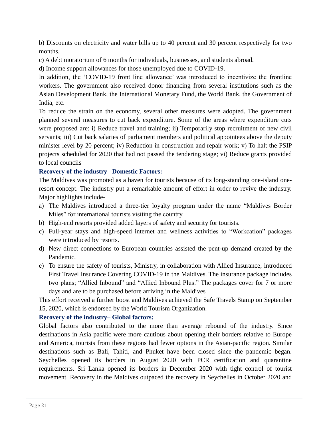b) Discounts on electricity and water bills up to 40 percent and 30 percent respectively for two months.

c) A debt moratorium of 6 months for individuals, businesses, and students abroad.

d) Income support allowances for those unemployed due to COVID-19.

In addition, the 'COVID-19 front line allowance' was introduced to incentivize the frontline workers. The government also received donor financing from several institutions such as the Asian Development Bank, the International Monetary Fund, the World Bank, the Government of India, etc.

To reduce the strain on the economy, several other measures were adopted. The government planned several measures to cut back expenditure. Some of the areas where expenditure cuts were proposed are: i) Reduce travel and training; ii) Temporarily stop recruitment of new civil servants; iii) Cut back salaries of parliament members and political appointees above the deputy minister level by 20 percent; iv) Reduction in construction and repair work; v) To halt the PSIP projects scheduled for 2020 that had not passed the tendering stage; vi) Reduce grants provided to local councils

#### **Recovery of the industry– Domestic Factors:**

The Maldives was promoted as a haven for tourists because of its long-standing one-island oneresort concept. The industry put a remarkable amount of effort in order to revive the industry. Major highlights include-

- a) The Maldives introduced a three-tier loyalty program under the name "Maldives Border Miles" for international tourists visiting the country.
- b) High-end resorts provided added layers of safety and security for tourists.
- c) Full-year stays and high-speed internet and wellness activities to "Workcation" packages were introduced by resorts.
- d) New direct connections to European countries assisted the pent-up demand created by the Pandemic.
- e) To ensure the safety of tourists, Ministry, in collaboration with Allied Insurance, introduced First Travel Insurance Covering COVID-19 in the Maldives. The insurance package includes two plans; "Allied Inbound" and "Allied Inbound Plus." The packages cover for 7 or more days and are to be purchased before arriving in the Maldives

This effort received a further boost and Maldives achieved the Safe Travels Stamp on September 15, 2020, which is endorsed by the World Tourism Organization.

#### **Recovery of the industry– Global factors:**

Global factors also contributed to the more than average rebound of the industry. Since destinations in Asia pacific were more cautious about opening their borders relative to Europe and America, tourists from these regions had fewer options in the Asian-pacific region. Similar destinations such as Bali, Tahiti, and Phuket have been closed since the pandemic began. Seychelles opened its borders in August 2020 with PCR certification and quarantine requirements. Sri Lanka opened its borders in December 2020 with tight control of tourist movement. Recovery in the Maldives outpaced the recovery in Seychelles in October 2020 and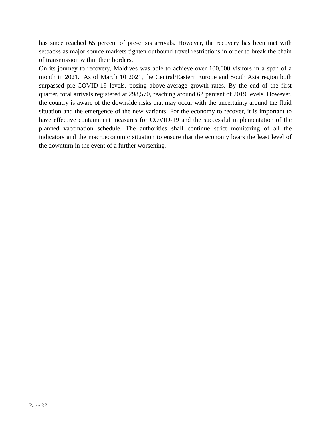has since reached 65 percent of pre-crisis arrivals. However, the recovery has been met with setbacks as major source markets tighten outbound travel restrictions in order to break the chain of transmission within their borders.

On its journey to recovery, Maldives was able to achieve over 100,000 visitors in a span of a month in 2021. As of March 10 2021, the Central/Eastern Europe and South Asia region both surpassed pre-COVID-19 levels, posing above-average growth rates. By the end of the first quarter, total arrivals registered at 298,570, reaching around 62 percent of 2019 levels. However, the country is aware of the downside risks that may occur with the uncertainty around the fluid situation and the emergence of the new variants. For the economy to recover, it is important to have effective containment measures for COVID-19 and the successful implementation of the planned vaccination schedule. The authorities shall continue strict monitoring of all the indicators and the macroeconomic situation to ensure that the economy bears the least level of the downturn in the event of a further worsening.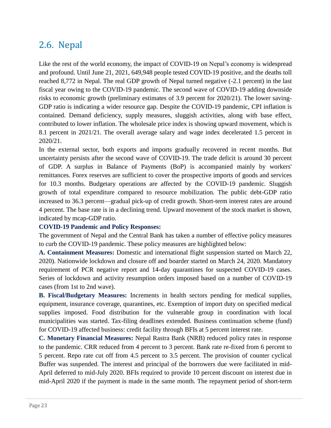# <span id="page-25-0"></span>2.6. Nepal

Like the rest of the world economy, the impact of COVID-19 on Nepal's economy is widespread and profound. Until June 21, 2021, 649,948 people tested COVID-19 positive, and the deaths toll reached 8,772 in Nepal. The real GDP growth of Nepal turned negative (-2.1 percent) in the last fiscal year owing to the COVID-19 pandemic. The second wave of COVID-19 adding downside risks to economic growth (preliminary estimates of 3.9 percent for 2020/21). The lower saving-GDP ratio is indicating a wider resource gap. Despite the COVID-19 pandemic, CPI inflation is contained. Demand deficiency, supply measures, sluggish activities, along with base effect, contributed to lower inflation. The wholesale price index is showing upward movement, which is 8.1 percent in 2021/21. The overall average salary and wage index decelerated 1.5 percent in 2020/21.

In the external sector, both exports and imports gradually recovered in recent months. But uncertainty persists after the second wave of COVID-19. The trade deficit is around 30 percent of GDP. A surplus in Balance of Payments (BoP) is accompanied mainly by workers' remittances. Forex reserves are sufficient to cover the prospective imports of goods and services for 10.3 months. Budgetary operations are affected by the COVID-19 pandemic. Sluggish growth of total expenditure compared to resource mobilization. The public debt-GDP ratio increased to 36.3 percent—gradual pick-up of credit growth. Short-term interest rates are around 4 percent. The base rate is in a declining trend. Upward movement of the stock market is shown, indicated by mcap-GDP ratio.

#### **COVID-19 Pandemic and Policy Responses:**

The government of Nepal and the Central Bank has taken a number of effective policy measures to curb the COVID-19 pandemic. These policy measures are highlighted below:

**A. Containment Measures:** Domestic and international flight suspension started on March 22, 2020). Nationwide lockdown and closure off and boarder started on March 24, 2020. Mandatory requirement of PCR negative report and 14-day quarantines for suspected COVID-19 cases. Series of lockdown and activity resumption orders imposed based on a number of COVID-19 cases (from 1st to 2nd wave).

**B. Fiscal/Budgetary Measures:** Increments in health sectors pending for medical supplies, equipment, insurance coverage, quarantines, etc. Exemption of import duty on specified medical supplies imposed. Food distribution for the vulnerable group in coordination with local municipalities was started. Tax-filing deadlines extended. Business continuation scheme (fund) for COVID-19 affected business: credit facility through BFIs at 5 percent interest rate.

**C. Monetary Financial Measures:** Nepal Rastra Bank (NRB) reduced policy rates in response to the pandemic. CRR reduced from 4 percent to 3 percent. Bank rate re-fixed from 6 percent to 5 percent. Repo rate cut off from 4.5 percent to 3.5 percent. The provision of counter cyclical Buffer was suspended. The interest and principal of the borrowers due were facilitated in mid-April deferred to mid-July 2020. BFIs required to provide 10 percent discount on interest due in mid-April 2020 if the payment is made in the same month. The repayment period of short-term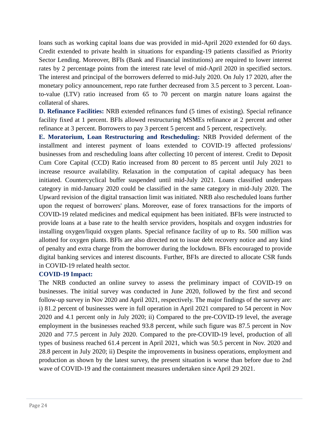loans such as working capital loans due was provided in mid-April 2020 extended for 60 days. Credit extended to private health in situations for expanding-19 patients classified as Priority Sector Lending. Moreover, BFIs (Bank and Financial institutions) are required to lower interest rates by 2 percentage points from the interest rate level of mid-April 2020 in specified sectors. The interest and principal of the borrowers deferred to mid-July 2020. On July 17 2020, after the monetary policy announcement, repo rate further decreased from 3.5 percent to 3 percent. Loanto-value (LTV) ratio increased from 65 to 70 percent on margin nature loans against the collateral of shares.

**D. Refinance Facilities:** NRB extended refinances fund (5 times of existing). Special refinance facility fixed at 1 percent. BFIs allowed restructuring MSMEs refinance at 2 percent and other refinance at 3 percent. Borrowers to pay 3 percent 5 percent and 5 percent, respectively.

**E. Moratorium, Loan Restructuring and Rescheduling:** NRB Provided deferment of the installment and interest payment of loans extended to COVID-19 affected professions/ businesses from and rescheduling loans after collecting 10 percent of interest. Credit to Deposit Cum Core Capital (CCD) Ratio increased from 80 percent to 85 percent until July 2021 to increase resource availability. Relaxation in the computation of capital adequacy has been initiated. Countercyclical buffer suspended until mid-July 2021. Loans classified underpass category in mid-January 2020 could be classified in the same category in mid-July 2020. The Upward revision of the digital transaction limit was initiated. NRB also rescheduled loans further upon the request of borrowers' plans. Moreover, ease of forex transactions for the imports of COVID-19 related medicines and medical equipment has been initiated. BFIs were instructed to provide loans at a base rate to the health service providers, hospitals and oxygen industries for installing oxygen/liquid oxygen plants. Special refinance facility of up to Rs. 500 million was allotted for oxygen plants. BFIs are also directed not to issue debt recovery notice and any kind of penalty and extra charge from the borrower during the lockdown. BFIs encouraged to provide digital banking services and interest discounts. Further, BFIs are directed to allocate CSR funds in COVID-19 related health sector.

#### **COVID-19 Impact:**

The NRB conducted an online survey to assess the preliminary impact of COVID-19 on businesses. The initial survey was conducted in June 2020, followed by the first and second follow-up survey in Nov 2020 and April 2021, respectively. The major findings of the survey are: i) 81.2 percent of businesses were in full operation in April 2021 compared to 54 percent in Nov 2020 and 4.1 percent only in July 2020; ii) Compared to the pre-COVID-19 level, the average employment in the businesses reached 93.8 percent, while such figure was 87.5 percent in Nov 2020 and 77.5 percent in July 2020. Compared to the pre-COVID-19 level, production of all types of business reached 61.4 percent in April 2021, which was 50.5 percent in Nov. 2020 and 28.8 percent in July 2020; ii) Despite the improvements in business operations, employment and production as shown by the latest survey, the present situation is worse than before due to 2nd wave of COVID-19 and the containment measures undertaken since April 29 2021.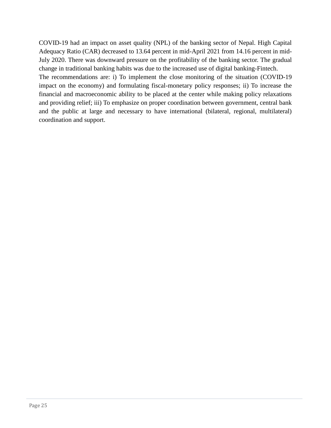COVID-19 had an impact on asset quality (NPL) of the banking sector of Nepal. High Capital Adequacy Ratio (CAR) decreased to 13.64 percent in mid-April 2021 from 14.16 percent in mid-July 2020. There was downward pressure on the profitability of the banking sector. The gradual change in traditional banking habits was due to the increased use of digital banking-Fintech.

The recommendations are: i) To implement the close monitoring of the situation (COVID-19 impact on the economy) and formulating fiscal-monetary policy responses; ii) To increase the financial and macroeconomic ability to be placed at the center while making policy relaxations and providing relief; iii) To emphasize on proper coordination between government, central bank and the public at large and necessary to have international (bilateral, regional, multilateral) coordination and support.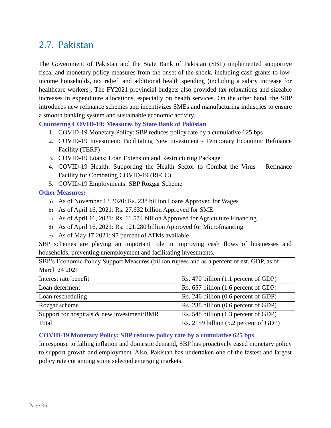### <span id="page-28-0"></span>2.7. Pakistan

The Government of Pakistan and the State Bank of Pakistan (SBP) implemented supportive fiscal and monetary policy measures from the onset of the shock, including cash grants to lowincome households, tax relief, and additional health spending (including a salary increase for healthcare workers). The FY2021 provincial budgets also provided tax relaxations and sizeable increases in expenditure allocations, especially on health services. On the other hand, the SBP introduces new refinance schemes and incentivizes SMEs and manufacturing industries to ensure a smooth banking system and sustainable economic activity.

**Countering COVID-19: Measures by State Bank of Pakistan**

- 1. COVID-19 Monetary Policy: SBP reduces policy rate by a cumulative 625 bps
- 2. COVID-19 Investment: Facilitating New Investment Temporary Economic Refinance Facility (TERF)
- 3. COVID-19 Loans: Loan Extension and Restructuring Package
- 4. COVID-19 Health: Supporting the Health Sector to Combat the Virus Refinance Facility for Combating COVID-19 (RFCC)
- 5. COVID-19 Employments: SBP Rozgar Scheme

#### **Other Measures:**

- a) As of November 13 2020: Rs. 238 billion Loans Approved for Wages
- b) As of April 16, 2021: Rs. 27.632 billion Approved for SME
- c) As of April 16, 2021: Rs. 11.574 billion Approved for Agriculture Financing
- d) As of April 16, 2021: Rs. 121.280 billion Approved for Microfinancing
- e) As of May 17 2021: 97 percent of ATMs available

SBP schemes are playing an important role in improving cash flows of businesses and households, preventing unemployment and facilitating investments.

| SBP's Economic Policy Support Measures (billion rupees and as a percent of est. GDP, as of |                                       |  |  |  |
|--------------------------------------------------------------------------------------------|---------------------------------------|--|--|--|
| March 24 2021                                                                              |                                       |  |  |  |
| Interest rate benefit                                                                      | Rs. 470 billion (1.1 percent of GDP)  |  |  |  |
| Loan deferment                                                                             | Rs. 657 billion (1.6 percent of GDP)  |  |  |  |
| Loan rescheduling                                                                          | Rs. 246 billion (0.6 percent of GDP)  |  |  |  |
| Rozgar scheme                                                                              | Rs. 238 billion (0.6 percent of GDP)  |  |  |  |
| Support for hospitals $\&$ new investment/BMR                                              | Rs. 548 billion (1.3 percent of GDP)  |  |  |  |
| Total                                                                                      | Rs. 2159 billion (5.2 percent of GDP) |  |  |  |

#### **COVID-19 Monetary Policy: SBP reduces policy rate by a cumulative 625 bps**

In response to falling inflation and domestic demand, SBP has proactively eased monetary policy to support growth and employment. Also, Pakistan has undertaken one of the fastest and largest policy rate cut among some selected emerging markets.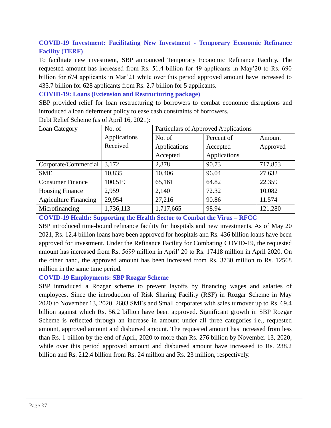#### **COVID-19 Investment: Facilitating New Investment - Temporary Economic Refinance Facility (TERF)**

To facilitate new investment, SBP announced Temporary Economic Refinance Facility. The requested amount has increased from Rs. 51.4 billion for 49 applicants in May'20 to Rs. 690 billion for 674 applicants in Mar'21 while over this period approved amount have increased to 435.7 billion for 628 applicants from Rs. 2.7 billion for 5 applicants.

**COVID-19: Loans (Extension and Restructuring package)**

SBP provided relief for loan restructuring to borrowers to combat economic disruptions and introduced a loan deferment policy to ease cash constraints of borrowers.

| Loan Category                | No. of       | Particulars of Approved Applications |              |          |
|------------------------------|--------------|--------------------------------------|--------------|----------|
|                              | Applications | No. of                               | Percent of   | Amount   |
|                              | Received     | Applications                         | Accepted     | Approved |
|                              |              | Accepted                             | Applications |          |
| Corporate/Commercial         | 3,172        | 2,878                                | 90.73        | 717.853  |
| <b>SME</b>                   | 10,835       | 10,406                               | 96.04        | 27.632   |
| <b>Consumer Finance</b>      | 100,519      | 65,161                               | 64.82        | 22.359   |
| <b>Housing Finance</b>       | 2,959        | 2,140                                | 72.32        | 10.082   |
| <b>Agriculture Financing</b> | 29,954       | 27,216                               | 90.86        | 11.574   |
| Microfinancing               | 1,736,113    | 1,717,665                            | 98.94        | 121.280  |

Debt Relief Scheme (as of April 16, 2021):

#### **COVID-19 Health: Supporting the Health Sector to Combat the Virus – RFCC**

SBP introduced time-bound refinance facility for hospitals and new investments. As of May 20 2021, Rs. 12.4 billion loans have been approved for hospitals and Rs. 436 billion loans have been approved for investment. Under the Refinance Facility for Combating COVID-19, the requested amount has increased from Rs. 5699 million in April' 20 to Rs. 17418 million in April 2020. On the other hand, the approved amount has been increased from Rs. 3730 million to Rs. 12568 million in the same time period.

#### **COVID-19 Employments: SBP Rozgar Scheme**

SBP introduced a Rozgar scheme to prevent layoffs by financing wages and salaries of employees. Since the introduction of Risk Sharing Facility (RSF) in Rozgar Scheme in May 2020 to November 13, 2020, 2603 SMEs and Small corporates with sales turnover up to Rs. 69.4 billion against which Rs. 56.2 billion have been approved. Significant growth in SBP Rozgar Scheme is reflected through an increase in amount under all three categories i.e., requested amount, approved amount and disbursed amount. The requested amount has increased from less than Rs. 1 billion by the end of April, 2020 to more than Rs. 276 billion by November 13, 2020, while over this period approved amount and disbursed amount have increased to Rs. 238.2 billion and Rs. 212.4 billion from Rs. 24 million and Rs. 23 million, respectively.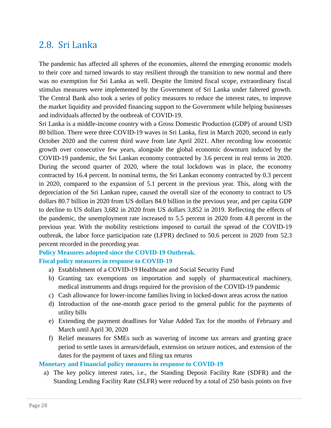### <span id="page-30-0"></span>2.8. Sri Lanka

The pandemic has affected all spheres of the economies, altered the emerging economic models to their core and turned inwards to stay resilient through the transition to new normal and there was no exemption for Sri Lanka as well. Despite the limited fiscal scope, extraordinary fiscal stimulus measures were implemented by the Government of Sri Lanka under faltered growth. The Central Bank also took a series of policy measures to reduce the interest rates, to improve the market liquidity and provided financing support to the Government while helping businesses and individuals affected by the outbreak of COVID-19.

Sri Lanka is a middle-income country with a Gross Domestic Production (GDP) of around USD 80 billion. There were three COVID-19 waves in Sri Lanka, first in March 2020, second in early October 2020 and the current third wave from late April 2021. After recording low economic growth over consecutive few years, alongside the global economic downturn induced by the COVID-19 pandemic, the Sri Lankan economy contracted by 3.6 percent in real terms in 2020. During the second quarter of 2020, where the total lockdown was in place, the economy contracted by 16.4 percent. In nominal terms, the Sri Lankan economy contracted by 0.3 percent in 2020, compared to the expansion of 5.1 percent in the previous year. This, along with the depreciation of the Sri Lankan rupee, caused the overall size of the economy to contract to US dollars 80.7 billion in 2020 from US dollars 84.0 billion in the previous year, and per capita GDP to decline to US dollars 3,682 in 2020 from US dollars 3,852 in 2019. Reflecting the effects of the pandemic, the unemployment rate increased to 5.5 percent in 2020 from 4.8 percent in the previous year. With the mobility restrictions imposed to curtail the spread of the COVID-19 outbreak, the labor force participation rate (LFPR) declined to 50.6 percent in 2020 from 52.3 percent recorded in the preceding year.

#### **Policy Measures adopted since the COVID-19 Outbreak.**

#### **Fiscal policy measures in response to COVID-19**

- a) Establishment of a COVID-19 Healthcare and Social Security Fund
- b) Granting tax exemptions on importation and supply of pharmaceutical machinery, medical instruments and drugs required for the provision of the COVID-19 pandemic
- c) Cash allowance for lower-income families living in locked-down areas across the nation
- d) Introduction of the one-month grace period to the general public for the payments of utility bills
- e) Extending the payment deadlines for Value Added Tax for the months of February and March until April 30, 2020
- f) Relief measures for SMEs such as wavering of income tax arrears and granting grace period to settle taxes in arrears/default, extension on seizure notices, and extension of the dates for the payment of taxes and filing tax returns

#### **Monetary and Financial policy measures in response to COVID-19**

a) The key policy interest rates, i.e., the Standing Deposit Facility Rate (SDFR) and the Standing Lending Facility Rate (SLFR) were reduced by a total of 250 basis points on five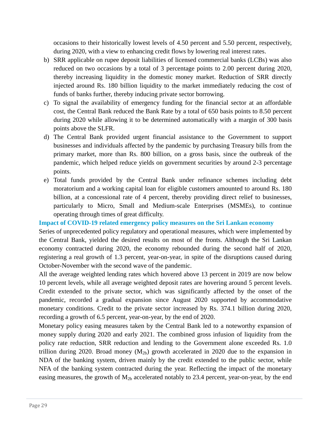occasions to their historically lowest levels of 4.50 percent and 5.50 percent, respectively, during 2020, with a view to enhancing credit flows by lowering real interest rates.

- b) SRR applicable on rupee deposit liabilities of licensed commercial banks (LCBs) was also reduced on two occasions by a total of 3 percentage points to 2.00 percent during 2020, thereby increasing liquidity in the domestic money market. Reduction of SRR directly injected around Rs. 180 billion liquidity to the market immediately reducing the cost of funds of banks further, thereby inducing private sector borrowing.
- c) To signal the availability of emergency funding for the financial sector at an affordable cost, the Central Bank reduced the Bank Rate by a total of 650 basis points to 8.50 percent during 2020 while allowing it to be determined automatically with a margin of 300 basis points above the SLFR.
- d) The Central Bank provided urgent financial assistance to the Government to support businesses and individuals affected by the pandemic by purchasing Treasury bills from the primary market, more than Rs. 800 billion, on a gross basis, since the outbreak of the pandemic, which helped reduce yields on government securities by around 2-3 percentage points.
- e) Total funds provided by the Central Bank under refinance schemes including debt moratorium and a working capital loan for eligible customers amounted to around Rs. 180 billion, at a concessional rate of 4 percent, thereby providing direct relief to businesses, particularly to Micro, Small and Medium-scale Enterprises (MSMEs), to continue operating through times of great difficulty.

**Impact of COVID-19 related emergency policy measures on the Sri Lankan economy**

Series of unprecedented policy regulatory and operational measures, which were implemented by the Central Bank, yielded the desired results on most of the fronts. Although the Sri Lankan economy contracted during 2020, the economy rebounded during the second half of 2020, registering a real growth of 1.3 percent, year-on-year, in spite of the disruptions caused during October-November with the second wave of the pandemic.

All the average weighted lending rates which hovered above 13 percent in 2019 are now below 10 percent levels, while all average weighted deposit rates are hovering around 5 percent levels. Credit extended to the private sector, which was significantly affected by the onset of the pandemic, recorded a gradual expansion since August 2020 supported by accommodative monetary conditions. Credit to the private sector increased by Rs. 374.1 billion during 2020, recording a growth of 6.5 percent, year-on-year, by the end of 2020.

Monetary policy easing measures taken by the Central Bank led to a noteworthy expansion of money supply during 2020 and early 2021. The combined gross infusion of liquidity from the policy rate reduction, SRR reduction and lending to the Government alone exceeded Rs. 1.0 trillion during 2020. Broad money  $(M_{2b})$  growth accelerated in 2020 due to the expansion in NDA of the banking system, driven mainly by the credit extended to the public sector, while NFA of the banking system contracted during the year. Reflecting the impact of the monetary easing measures, the growth of  $M_{2b}$  accelerated notably to 23.4 percent, year-on-year, by the end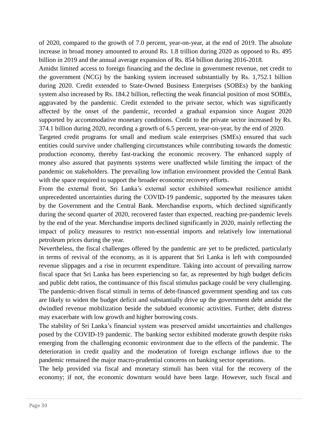of 2020, compared to the growth of 7.0 percent, year-on-year, at the end of 2019. The absolute increase in broad money amounted to around Rs. 1.8 trillion during 2020 as opposed to Rs. 495 billion in 2019 and the annual average expansion of Rs. 854 billion during 2016-2018.

Amidst limited access to foreign financing and the decline in government revenue, net credit to the government (NCG) by the banking system increased substantially by Rs. 1,752.1 billion during 2020. Credit extended to State-Owned Business Enterprises (SOBEs) by the banking system also increased by Rs. 184.2 billion, reflecting the weak financial position of most SOBEs, aggravated by the pandemic. Credit extended to the private sector, which was significantly affected by the onset of the pandemic, recorded a gradual expansion since August 2020 supported by accommodative monetary conditions. Credit to the private sector increased by Rs. 374.1 billion during 2020, recording a growth of 6.5 percent, year-on-year, by the end of 2020.

Targeted credit programs for small and medium scale enterprises (SMEs) ensured that such entities could survive under challenging circumstances while contributing towards the domestic production economy, thereby fast-tracking the economic recovery. The enhanced supply of money also assured that payments systems were unaffected while limiting the impact of the pandemic on stakeholders. The prevailing low inflation environment provided the Central Bank with the space required to support the broader economic recovery efforts.

From the external front, Sri Lanka's external sector exhibited somewhat resilience amidst unprecedented uncertainties during the COVID-19 pandemic, supported by the measures taken by the Government and the Central Bank. Merchandise exports, which declined significantly during the second quarter of 2020, recovered faster than expected, reaching pre-pandemic levels by the end of the year. Merchandise imports declined significantly in 2020, mainly reflecting the impact of policy measures to restrict non-essential imports and relatively low international petroleum prices during the year.

Nevertheless, the fiscal challenges offered by the pandemic are yet to be predicted, particularly in terms of revival of the economy, as it is apparent that Sri Lanka is left with compounded revenue slippages and a rise in recurrent expenditure. Taking into account of prevailing narrow fiscal space that Sri Lanka has been experiencing so far, as represented by high budget deficits and public debt ratios, the continuance of this fiscal stimulus package could be very challenging. The pandemic-driven fiscal stimuli in terms of debt-financed government spending and tax cuts are likely to widen the budget deficit and substantially drive up the government debt amidst the dwindled revenue mobilization beside the subdued economic activities. Further, debt distress may exacerbate with low growth and higher borrowing costs.

The stability of Sri Lanka's financial system was preserved amidst uncertainties and challenges posed by the COVID-19 pandemic. The banking sector exhibited moderate growth despite risks emerging from the challenging economic environment due to the effects of the pandemic. The deterioration in credit quality and the moderation of foreign exchange inflows due to the pandemic remained the major macro-prudential concerns on banking sector operations.

The help provided via fiscal and monetary stimuli has been vital for the recovery of the economy; if not, the economic downturn would have been large. However, such fiscal and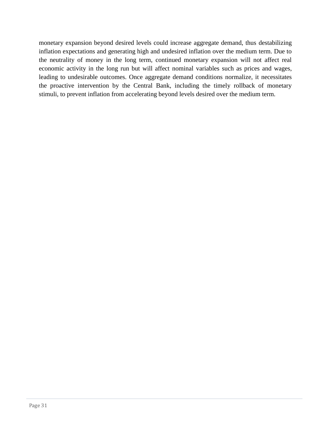monetary expansion beyond desired levels could increase aggregate demand, thus destabilizing inflation expectations and generating high and undesired inflation over the medium term. Due to the neutrality of money in the long term, continued monetary expansion will not affect real economic activity in the long run but will affect nominal variables such as prices and wages, leading to undesirable outcomes. Once aggregate demand conditions normalize, it necessitates the proactive intervention by the Central Bank, including the timely rollback of monetary stimuli, to prevent inflation from accelerating beyond levels desired over the medium term.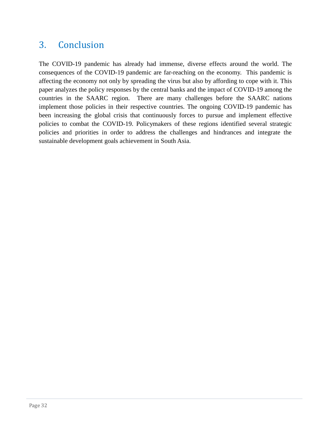# <span id="page-34-0"></span>3. Conclusion

The COVID-19 pandemic has already had immense, diverse effects around the world. The consequences of the COVID-19 pandemic are far-reaching on the economy. This pandemic is affecting the economy not only by spreading the virus but also by affording to cope with it. This paper analyzes the policy responses by the central banks and the impact of COVID-19 among the countries in the SAARC region. There are many challenges before the SAARC nations implement those policies in their respective countries. The ongoing COVID-19 pandemic has been increasing the global crisis that continuously forces to pursue and implement effective policies to combat the COVID-19. Policymakers of these regions identified several strategic policies and priorities in order to address the challenges and hindrances and integrate the sustainable development goals achievement in South Asia.